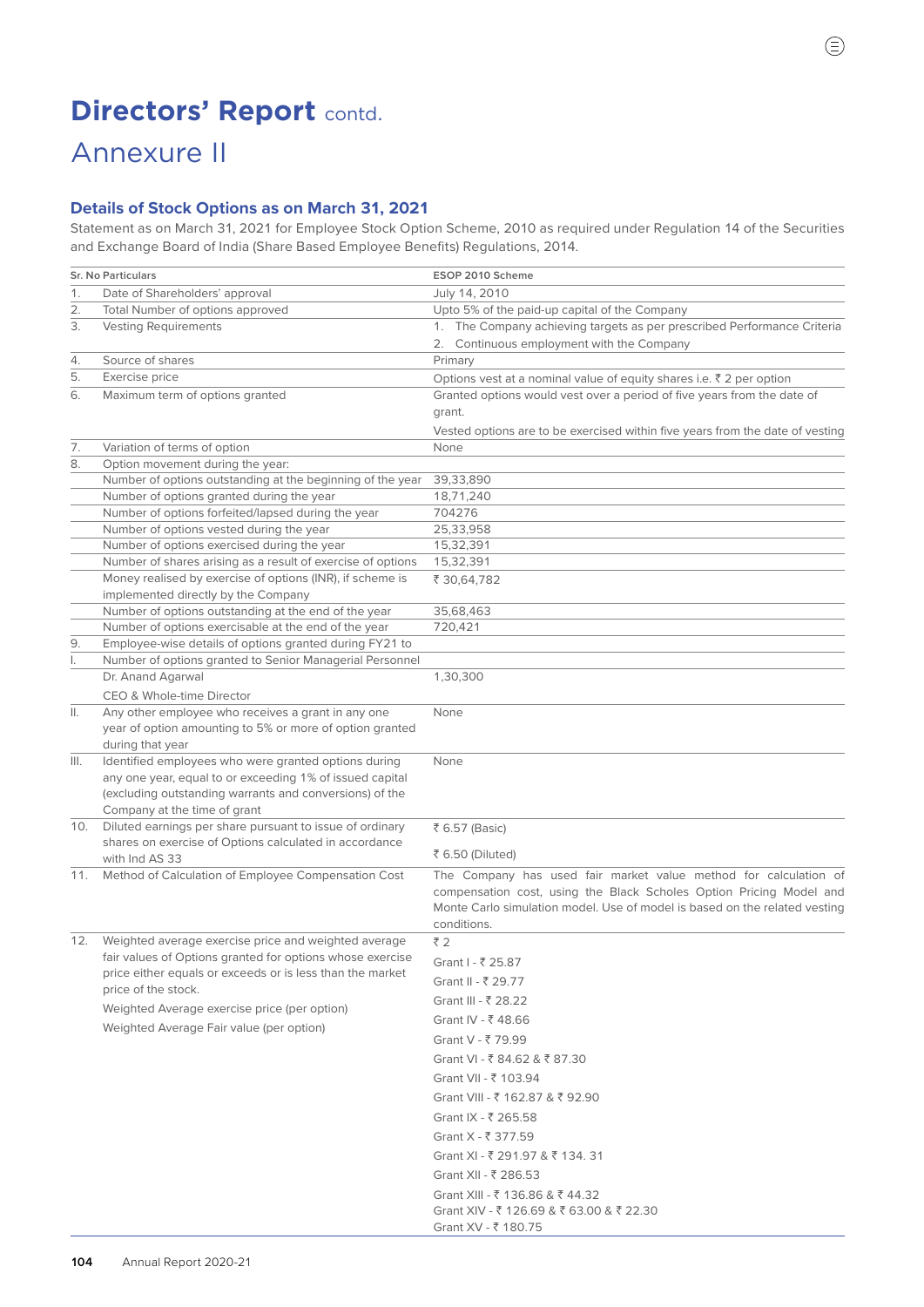# **Directors' Report contd.**

## Annexure II

## **Details of Stock Options as on March 31, 2021**

Statement as on March 31, 2021 for Employee Stock Option Scheme, 2010 as required under Regulation 14 of the Securities and Exchange Board of India (Share Based Employee Benefits) Regulations, 2014.

 $\textcircled{\scriptsize\Xi}$ 

|     | <b>Sr. No Particulars</b>                                                                                              | ESOP 2010 Scheme                                                              |  |  |  |  |  |  |
|-----|------------------------------------------------------------------------------------------------------------------------|-------------------------------------------------------------------------------|--|--|--|--|--|--|
| 1.  | Date of Shareholders' approval                                                                                         | July 14, 2010                                                                 |  |  |  |  |  |  |
| 2.  | Total Number of options approved                                                                                       | Upto 5% of the paid-up capital of the Company                                 |  |  |  |  |  |  |
| 3.  | <b>Vesting Requirements</b>                                                                                            | 1. The Company achieving targets as per prescribed Performance Criteria       |  |  |  |  |  |  |
|     |                                                                                                                        | 2. Continuous employment with the Company                                     |  |  |  |  |  |  |
| 4.  | Source of shares                                                                                                       | Primary                                                                       |  |  |  |  |  |  |
| 5.  | Exercise price                                                                                                         | Options vest at a nominal value of equity shares i.e. $\bar{z}$ 2 per option  |  |  |  |  |  |  |
| 6.  | Maximum term of options granted                                                                                        | Granted options would vest over a period of five years from the date of       |  |  |  |  |  |  |
|     |                                                                                                                        | grant.                                                                        |  |  |  |  |  |  |
|     |                                                                                                                        | Vested options are to be exercised within five years from the date of vesting |  |  |  |  |  |  |
| 7.  | Variation of terms of option                                                                                           | None                                                                          |  |  |  |  |  |  |
| 8.  | Option movement during the year:                                                                                       |                                                                               |  |  |  |  |  |  |
|     | Number of options outstanding at the beginning of the year                                                             | 39,33,890                                                                     |  |  |  |  |  |  |
|     | Number of options granted during the year                                                                              | 18,71,240                                                                     |  |  |  |  |  |  |
|     | Number of options forfeited/lapsed during the year                                                                     | 704276                                                                        |  |  |  |  |  |  |
|     | Number of options vested during the year                                                                               | 25,33,958<br>15,32,391                                                        |  |  |  |  |  |  |
|     | Number of options exercised during the year                                                                            |                                                                               |  |  |  |  |  |  |
|     | Number of shares arising as a result of exercise of options                                                            | 15,32,391                                                                     |  |  |  |  |  |  |
|     | Money realised by exercise of options (INR), if scheme is                                                              | ₹ 30,64,782                                                                   |  |  |  |  |  |  |
|     | implemented directly by the Company                                                                                    |                                                                               |  |  |  |  |  |  |
|     | Number of options outstanding at the end of the year                                                                   | 35,68,463                                                                     |  |  |  |  |  |  |
|     | Number of options exercisable at the end of the year                                                                   | 720,421                                                                       |  |  |  |  |  |  |
| 9.  | Employee-wise details of options granted during FY21 to                                                                |                                                                               |  |  |  |  |  |  |
| Ι.  | Number of options granted to Senior Managerial Personnel                                                               |                                                                               |  |  |  |  |  |  |
|     | Dr. Anand Agarwal                                                                                                      | 1,30,300                                                                      |  |  |  |  |  |  |
|     | CEO & Whole-time Director                                                                                              |                                                                               |  |  |  |  |  |  |
| Ш.  | Any other employee who receives a grant in any one                                                                     | None                                                                          |  |  |  |  |  |  |
|     | year of option amounting to 5% or more of option granted                                                               |                                                                               |  |  |  |  |  |  |
| Ш.  | during that year<br>Identified employees who were granted options during                                               | None                                                                          |  |  |  |  |  |  |
|     | any one year, equal to or exceeding 1% of issued capital                                                               |                                                                               |  |  |  |  |  |  |
|     | (excluding outstanding warrants and conversions) of the                                                                |                                                                               |  |  |  |  |  |  |
|     | Company at the time of grant                                                                                           |                                                                               |  |  |  |  |  |  |
|     | 10. Diluted earnings per share pursuant to issue of ordinary                                                           | ₹ 6.57 (Basic)                                                                |  |  |  |  |  |  |
|     | shares on exercise of Options calculated in accordance                                                                 |                                                                               |  |  |  |  |  |  |
|     | with Ind AS 33                                                                                                         | ₹ 6.50 (Diluted)                                                              |  |  |  |  |  |  |
| 11. | Method of Calculation of Employee Compensation Cost                                                                    | The Company has used fair market value method for calculation of              |  |  |  |  |  |  |
|     |                                                                                                                        | compensation cost, using the Black Scholes Option Pricing Model and           |  |  |  |  |  |  |
|     |                                                                                                                        | Monte Carlo simulation model. Use of model is based on the related vesting    |  |  |  |  |  |  |
|     |                                                                                                                        | conditions.                                                                   |  |  |  |  |  |  |
| 12. | Weighted average exercise price and weighted average                                                                   | ₹2                                                                            |  |  |  |  |  |  |
|     | fair values of Options granted for options whose exercise<br>price either equals or exceeds or is less than the market | Grant I - ₹ 25.87                                                             |  |  |  |  |  |  |
|     | price of the stock.                                                                                                    | Grant II - ₹ 29.77                                                            |  |  |  |  |  |  |
|     |                                                                                                                        | Grant III - ₹ 28.22                                                           |  |  |  |  |  |  |
|     | Weighted Average exercise price (per option)                                                                           | Grant IV - ₹48.66                                                             |  |  |  |  |  |  |
|     | Weighted Average Fair value (per option)                                                                               | Grant V - ₹ 79.99                                                             |  |  |  |  |  |  |
|     |                                                                                                                        | Grant VI - ₹ 84.62 & ₹ 87.30                                                  |  |  |  |  |  |  |
|     |                                                                                                                        |                                                                               |  |  |  |  |  |  |
|     |                                                                                                                        | Grant VII - ₹ 103.94                                                          |  |  |  |  |  |  |
|     |                                                                                                                        | Grant VIII - ₹ 162.87 & ₹ 92.90                                               |  |  |  |  |  |  |
|     |                                                                                                                        | Grant IX - ₹ 265.58                                                           |  |  |  |  |  |  |
|     |                                                                                                                        | Grant $X - \overline{5}$ 377.59                                               |  |  |  |  |  |  |
|     |                                                                                                                        | Grant XI - ₹ 291.97 & ₹ 134.31                                                |  |  |  |  |  |  |
|     |                                                                                                                        | Grant XII - ₹ 286.53                                                          |  |  |  |  |  |  |
|     |                                                                                                                        | Grant XIII - ₹ 136.86 & ₹ 44.32                                               |  |  |  |  |  |  |
|     |                                                                                                                        | Grant XIV - ₹126.69 & ₹63.00 & ₹22.30                                         |  |  |  |  |  |  |
|     |                                                                                                                        | Grant XV - ₹ 180.75                                                           |  |  |  |  |  |  |